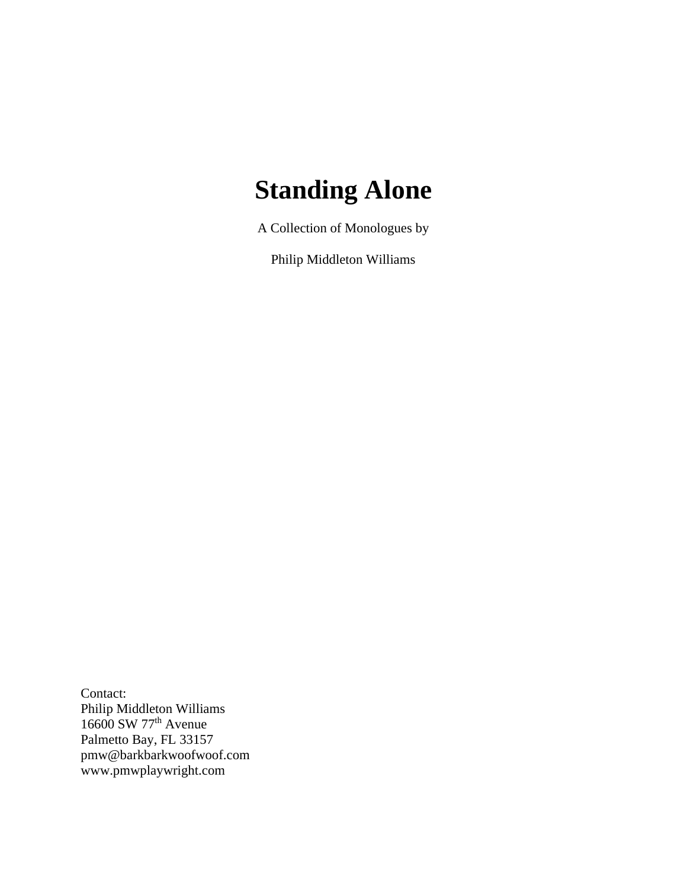# **Standing Alone**

A Collection of Monologues by

Philip Middleton Williams

Contact: Philip Middleton Williams 16600 SW 77<sup>th</sup> Avenue Palmetto Bay, FL 33157 pmw@barkbarkwoofwoof.com www.pmwplaywright.com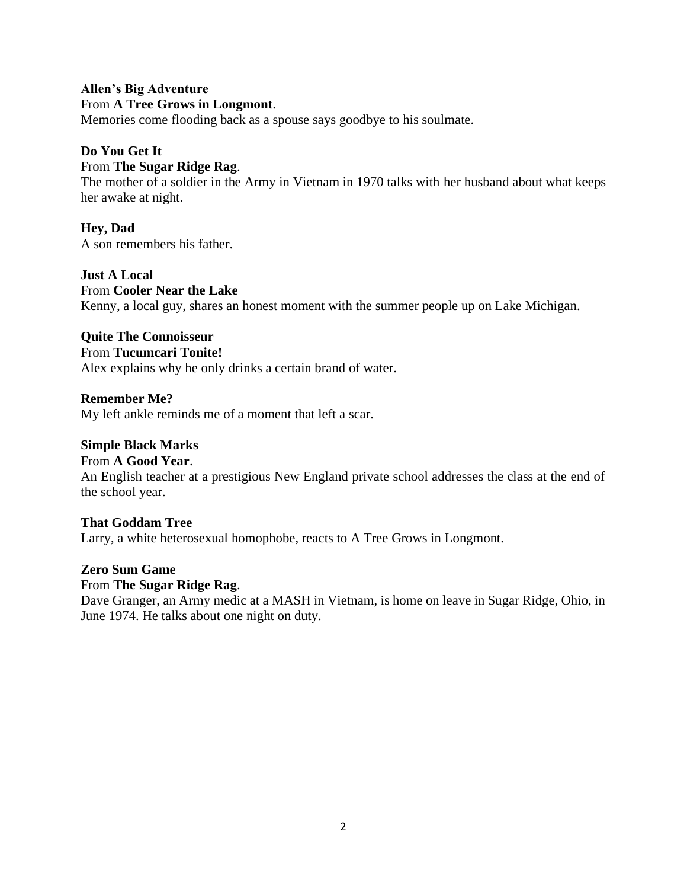# **Allen's Big Adventure** From **A Tree Grows in Longmont**.

Memories come flooding back as a spouse says goodbye to his soulmate.

# **Do You Get It**

# From **The Sugar Ridge Rag**.

The mother of a soldier in the Army in Vietnam in 1970 talks with her husband about what keeps her awake at night.

**Hey, Dad** A son remembers his father.

**Just A Local** From **Cooler Near the Lake** Kenny, a local guy, shares an honest moment with the summer people up on Lake Michigan.

**Quite The Connoisseur**

#### From **Tucumcari Tonite!**

Alex explains why he only drinks a certain brand of water.

#### **Remember Me?**

My left ankle reminds me of a moment that left a scar.

#### **Simple Black Marks**

#### From **A Good Year**.

An English teacher at a prestigious New England private school addresses the class at the end of the school year.

**That Goddam Tree**

Larry, a white heterosexual homophobe, reacts to A Tree Grows in Longmont.

**Zero Sum Game**

#### From **The Sugar Ridge Rag**.

Dave Granger, an Army medic at a MASH in Vietnam, is home on leave in Sugar Ridge, Ohio, in June 1974. He talks about one night on duty.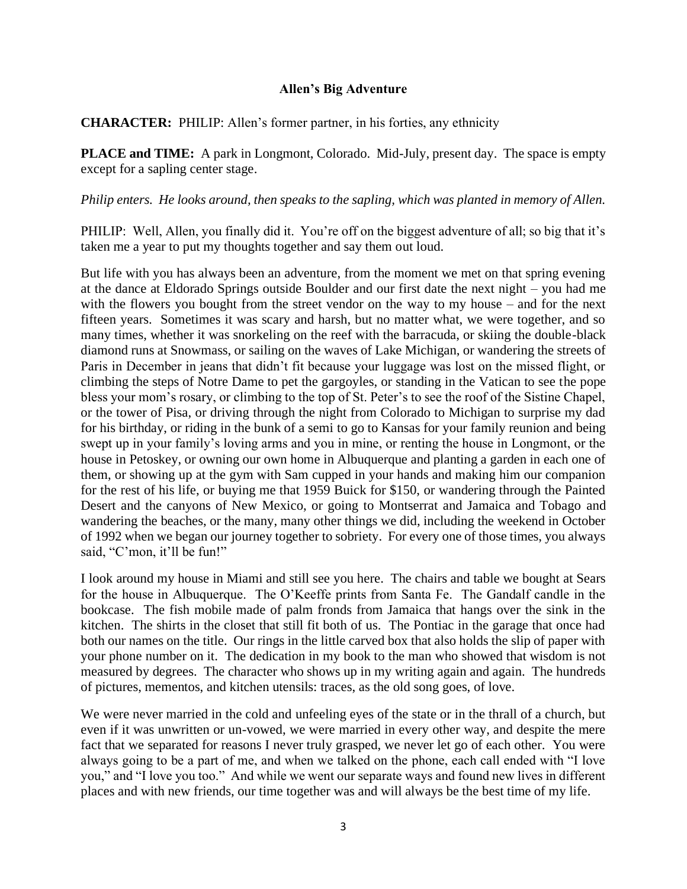#### **Allen's Big Adventure**

**CHARACTER:** PHILIP: Allen's former partner, in his forties, any ethnicity

**PLACE and TIME:** A park in Longmont, Colorado. Mid-July, present day. The space is empty except for a sapling center stage.

#### *Philip enters. He looks around, then speaks to the sapling, which was planted in memory of Allen.*

PHILIP: Well, Allen, you finally did it. You're off on the biggest adventure of all; so big that it's taken me a year to put my thoughts together and say them out loud.

But life with you has always been an adventure, from the moment we met on that spring evening at the dance at Eldorado Springs outside Boulder and our first date the next night – you had me with the flowers you bought from the street vendor on the way to my house – and for the next fifteen years. Sometimes it was scary and harsh, but no matter what, we were together, and so many times, whether it was snorkeling on the reef with the barracuda, or skiing the double-black diamond runs at Snowmass, or sailing on the waves of Lake Michigan, or wandering the streets of Paris in December in jeans that didn't fit because your luggage was lost on the missed flight, or climbing the steps of Notre Dame to pet the gargoyles, or standing in the Vatican to see the pope bless your mom's rosary, or climbing to the top of St. Peter's to see the roof of the Sistine Chapel, or the tower of Pisa, or driving through the night from Colorado to Michigan to surprise my dad for his birthday, or riding in the bunk of a semi to go to Kansas for your family reunion and being swept up in your family's loving arms and you in mine, or renting the house in Longmont, or the house in Petoskey, or owning our own home in Albuquerque and planting a garden in each one of them, or showing up at the gym with Sam cupped in your hands and making him our companion for the rest of his life, or buying me that 1959 Buick for \$150, or wandering through the Painted Desert and the canyons of New Mexico, or going to Montserrat and Jamaica and Tobago and wandering the beaches, or the many, many other things we did, including the weekend in October of 1992 when we began our journey together to sobriety. For every one of those times, you always said, "C'mon, it'll be fun!"

I look around my house in Miami and still see you here. The chairs and table we bought at Sears for the house in Albuquerque. The O'Keeffe prints from Santa Fe. The Gandalf candle in the bookcase. The fish mobile made of palm fronds from Jamaica that hangs over the sink in the kitchen. The shirts in the closet that still fit both of us. The Pontiac in the garage that once had both our names on the title. Our rings in the little carved box that also holds the slip of paper with your phone number on it. The dedication in my book to the man who showed that wisdom is not measured by degrees. The character who shows up in my writing again and again. The hundreds of pictures, mementos, and kitchen utensils: traces, as the old song goes, of love.

We were never married in the cold and unfeeling eyes of the state or in the thrall of a church, but even if it was unwritten or un-vowed, we were married in every other way, and despite the mere fact that we separated for reasons I never truly grasped, we never let go of each other. You were always going to be a part of me, and when we talked on the phone, each call ended with "I love you," and "I love you too." And while we went our separate ways and found new lives in different places and with new friends, our time together was and will always be the best time of my life.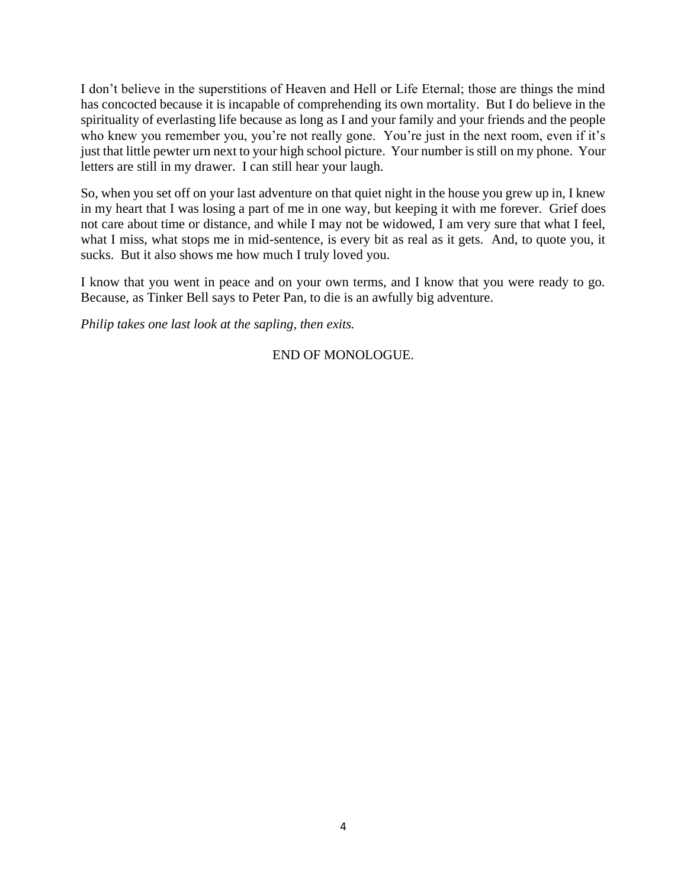I don't believe in the superstitions of Heaven and Hell or Life Eternal; those are things the mind has concocted because it is incapable of comprehending its own mortality. But I do believe in the spirituality of everlasting life because as long as I and your family and your friends and the people who knew you remember you, you're not really gone. You're just in the next room, even if it's just that little pewter urn next to your high school picture. Your number is still on my phone. Your letters are still in my drawer. I can still hear your laugh.

So, when you set off on your last adventure on that quiet night in the house you grew up in, I knew in my heart that I was losing a part of me in one way, but keeping it with me forever. Grief does not care about time or distance, and while I may not be widowed, I am very sure that what I feel, what I miss, what stops me in mid-sentence, is every bit as real as it gets. And, to quote you, it sucks. But it also shows me how much I truly loved you.

I know that you went in peace and on your own terms, and I know that you were ready to go. Because, as Tinker Bell says to Peter Pan, to die is an awfully big adventure.

*Philip takes one last look at the sapling, then exits.*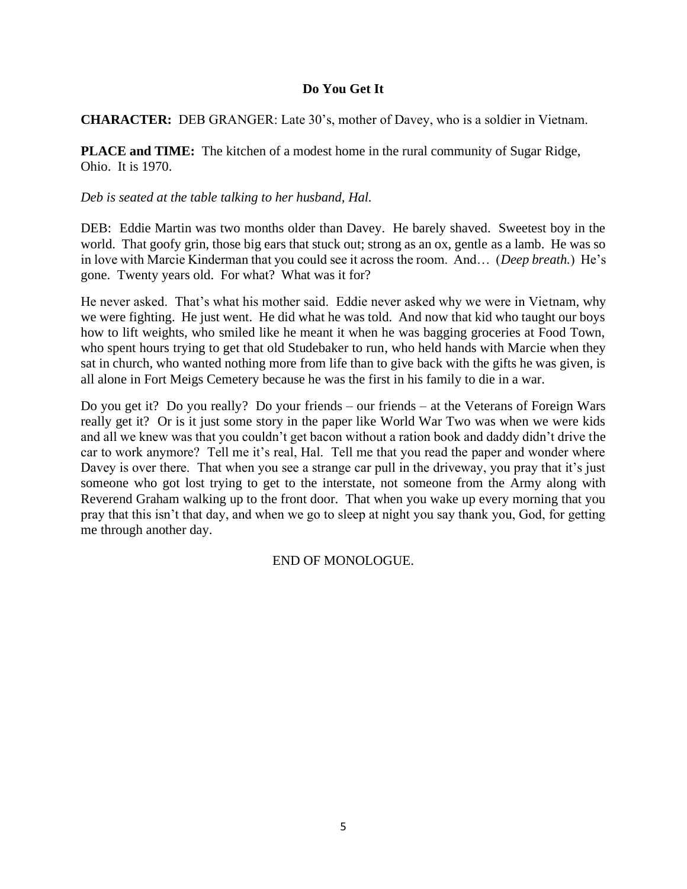# **Do You Get It**

## **CHARACTER:** DEB GRANGER: Late 30's, mother of Davey, who is a soldier in Vietnam.

**PLACE and TIME:** The kitchen of a modest home in the rural community of Sugar Ridge, Ohio. It is 1970.

## *Deb is seated at the table talking to her husband, Hal.*

DEB: Eddie Martin was two months older than Davey. He barely shaved. Sweetest boy in the world. That goofy grin, those big ears that stuck out; strong as an ox, gentle as a lamb. He was so in love with Marcie Kinderman that you could see it across the room. And… (*Deep breath.*) He's gone. Twenty years old. For what? What was it for?

He never asked. That's what his mother said. Eddie never asked why we were in Vietnam, why we were fighting. He just went. He did what he was told. And now that kid who taught our boys how to lift weights, who smiled like he meant it when he was bagging groceries at Food Town, who spent hours trying to get that old Studebaker to run, who held hands with Marcie when they sat in church, who wanted nothing more from life than to give back with the gifts he was given, is all alone in Fort Meigs Cemetery because he was the first in his family to die in a war.

Do you get it? Do you really? Do your friends – our friends – at the Veterans of Foreign Wars really get it? Or is it just some story in the paper like World War Two was when we were kids and all we knew was that you couldn't get bacon without a ration book and daddy didn't drive the car to work anymore? Tell me it's real, Hal. Tell me that you read the paper and wonder where Davey is over there. That when you see a strange car pull in the driveway, you pray that it's just someone who got lost trying to get to the interstate, not someone from the Army along with Reverend Graham walking up to the front door. That when you wake up every morning that you pray that this isn't that day, and when we go to sleep at night you say thank you, God, for getting me through another day.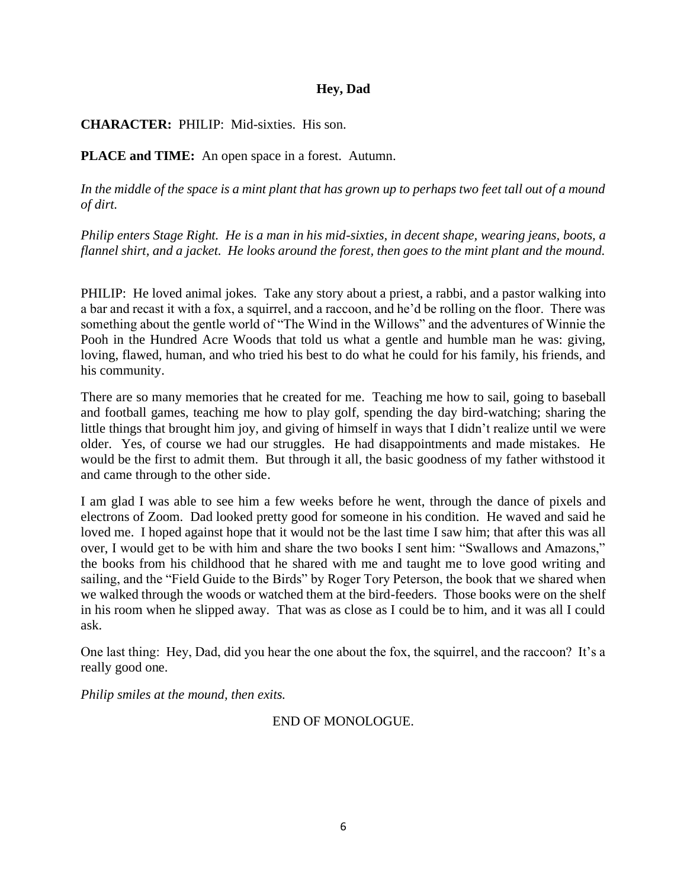#### **Hey, Dad**

**CHARACTER:** PHILIP: Mid-sixties. His son.

**PLACE and TIME:** An open space in a forest. Autumn.

*In the middle of the space is a mint plant that has grown up to perhaps two feet tall out of a mound of dirt.*

*Philip enters Stage Right. He is a man in his mid-sixties, in decent shape, wearing jeans, boots, a flannel shirt, and a jacket. He looks around the forest, then goes to the mint plant and the mound.*

PHILIP: He loved animal jokes. Take any story about a priest, a rabbi, and a pastor walking into a bar and recast it with a fox, a squirrel, and a raccoon, and he'd be rolling on the floor. There was something about the gentle world of "The Wind in the Willows" and the adventures of Winnie the Pooh in the Hundred Acre Woods that told us what a gentle and humble man he was: giving, loving, flawed, human, and who tried his best to do what he could for his family, his friends, and his community.

There are so many memories that he created for me. Teaching me how to sail, going to baseball and football games, teaching me how to play golf, spending the day bird-watching; sharing the little things that brought him joy, and giving of himself in ways that I didn't realize until we were older. Yes, of course we had our struggles. He had disappointments and made mistakes. He would be the first to admit them. But through it all, the basic goodness of my father withstood it and came through to the other side.

I am glad I was able to see him a few weeks before he went, through the dance of pixels and electrons of Zoom. Dad looked pretty good for someone in his condition. He waved and said he loved me. I hoped against hope that it would not be the last time I saw him; that after this was all over, I would get to be with him and share the two books I sent him: "Swallows and Amazons," the books from his childhood that he shared with me and taught me to love good writing and sailing, and the "Field Guide to the Birds" by Roger Tory Peterson, the book that we shared when we walked through the woods or watched them at the bird-feeders. Those books were on the shelf in his room when he slipped away. That was as close as I could be to him, and it was all I could ask.

One last thing: Hey, Dad, did you hear the one about the fox, the squirrel, and the raccoon? It's a really good one.

*Philip smiles at the mound, then exits.*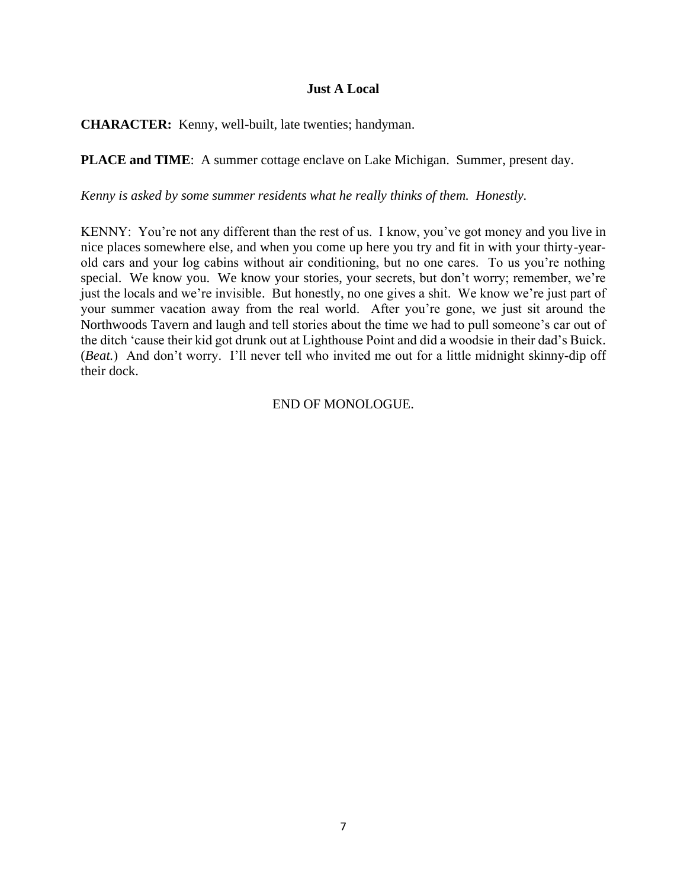#### **Just A Local**

**CHARACTER:** Kenny, well-built, late twenties; handyman.

**PLACE and TIME**: A summer cottage enclave on Lake Michigan. Summer, present day.

*Kenny is asked by some summer residents what he really thinks of them. Honestly.*

KENNY: You're not any different than the rest of us. I know, you've got money and you live in nice places somewhere else, and when you come up here you try and fit in with your thirty-yearold cars and your log cabins without air conditioning, but no one cares. To us you're nothing special. We know you. We know your stories, your secrets, but don't worry; remember, we're just the locals and we're invisible. But honestly, no one gives a shit. We know we're just part of your summer vacation away from the real world. After you're gone, we just sit around the Northwoods Tavern and laugh and tell stories about the time we had to pull someone's car out of the ditch 'cause their kid got drunk out at Lighthouse Point and did a woodsie in their dad's Buick. (*Beat.*) And don't worry. I'll never tell who invited me out for a little midnight skinny-dip off their dock.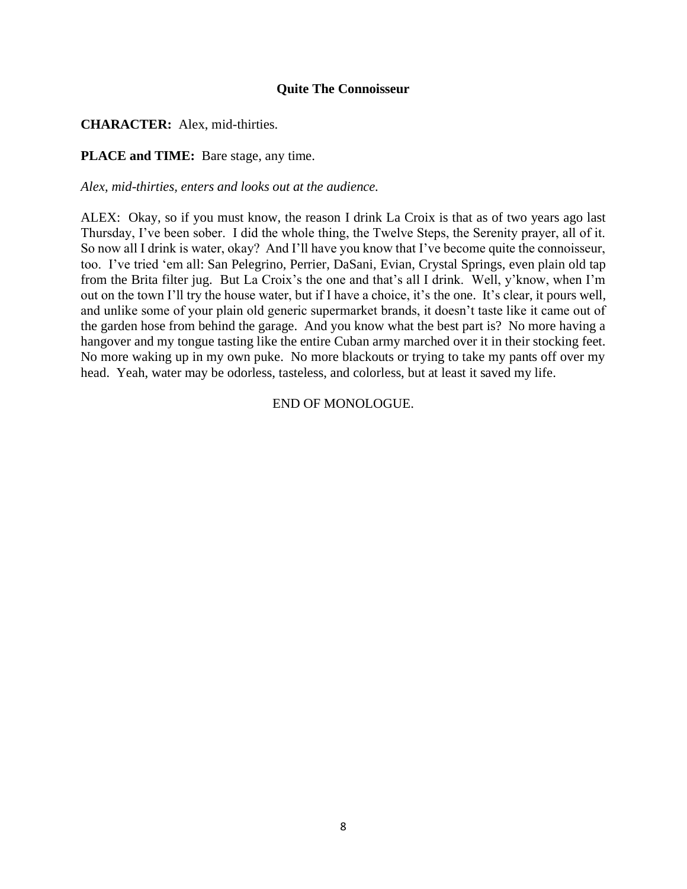#### **Quite The Connoisseur**

**CHARACTER:** Alex, mid-thirties.

**PLACE and TIME:** Bare stage, any time.

*Alex, mid-thirties, enters and looks out at the audience.*

ALEX: Okay, so if you must know, the reason I drink La Croix is that as of two years ago last Thursday, I've been sober. I did the whole thing, the Twelve Steps, the Serenity prayer, all of it. So now all I drink is water, okay? And I'll have you know that I've become quite the connoisseur, too. I've tried 'em all: San Pelegrino, Perrier, DaSani, Evian, Crystal Springs, even plain old tap from the Brita filter jug. But La Croix's the one and that's all I drink. Well, y'know, when I'm out on the town I'll try the house water, but if I have a choice, it's the one. It's clear, it pours well, and unlike some of your plain old generic supermarket brands, it doesn't taste like it came out of the garden hose from behind the garage. And you know what the best part is? No more having a hangover and my tongue tasting like the entire Cuban army marched over it in their stocking feet. No more waking up in my own puke. No more blackouts or trying to take my pants off over my head. Yeah, water may be odorless, tasteless, and colorless, but at least it saved my life.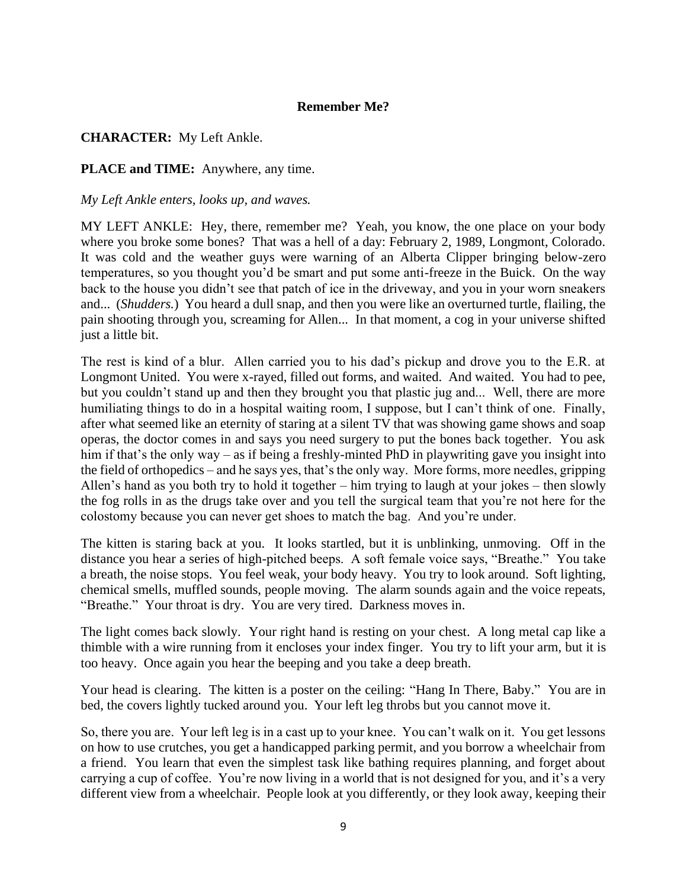## **Remember Me?**

# **CHARACTER:** My Left Ankle.

#### **PLACE and TIME:** Anywhere, any time.

#### *My Left Ankle enters, looks up, and waves.*

MY LEFT ANKLE: Hey, there, remember me? Yeah, you know, the one place on your body where you broke some bones? That was a hell of a day: February 2, 1989, Longmont, Colorado. It was cold and the weather guys were warning of an Alberta Clipper bringing below-zero temperatures, so you thought you'd be smart and put some anti-freeze in the Buick. On the way back to the house you didn't see that patch of ice in the driveway, and you in your worn sneakers and... (*Shudders.*) You heard a dull snap, and then you were like an overturned turtle, flailing, the pain shooting through you, screaming for Allen... In that moment, a cog in your universe shifted just a little bit.

The rest is kind of a blur. Allen carried you to his dad's pickup and drove you to the E.R. at Longmont United. You were x-rayed, filled out forms, and waited. And waited. You had to pee, but you couldn't stand up and then they brought you that plastic jug and... Well, there are more humiliating things to do in a hospital waiting room, I suppose, but I can't think of one. Finally, after what seemed like an eternity of staring at a silent TV that was showing game shows and soap operas, the doctor comes in and says you need surgery to put the bones back together. You ask him if that's the only way – as if being a freshly-minted PhD in playwriting gave you insight into the field of orthopedics – and he says yes, that's the only way. More forms, more needles, gripping Allen's hand as you both try to hold it together – him trying to laugh at your jokes – then slowly the fog rolls in as the drugs take over and you tell the surgical team that you're not here for the colostomy because you can never get shoes to match the bag. And you're under.

The kitten is staring back at you. It looks startled, but it is unblinking, unmoving. Off in the distance you hear a series of high-pitched beeps. A soft female voice says, "Breathe." You take a breath, the noise stops. You feel weak, your body heavy. You try to look around. Soft lighting, chemical smells, muffled sounds, people moving. The alarm sounds again and the voice repeats, "Breathe." Your throat is dry. You are very tired. Darkness moves in.

The light comes back slowly. Your right hand is resting on your chest. A long metal cap like a thimble with a wire running from it encloses your index finger. You try to lift your arm, but it is too heavy. Once again you hear the beeping and you take a deep breath.

Your head is clearing. The kitten is a poster on the ceiling: "Hang In There, Baby." You are in bed, the covers lightly tucked around you. Your left leg throbs but you cannot move it.

So, there you are. Your left leg is in a cast up to your knee. You can't walk on it. You get lessons on how to use crutches, you get a handicapped parking permit, and you borrow a wheelchair from a friend. You learn that even the simplest task like bathing requires planning, and forget about carrying a cup of coffee. You're now living in a world that is not designed for you, and it's a very different view from a wheelchair. People look at you differently, or they look away, keeping their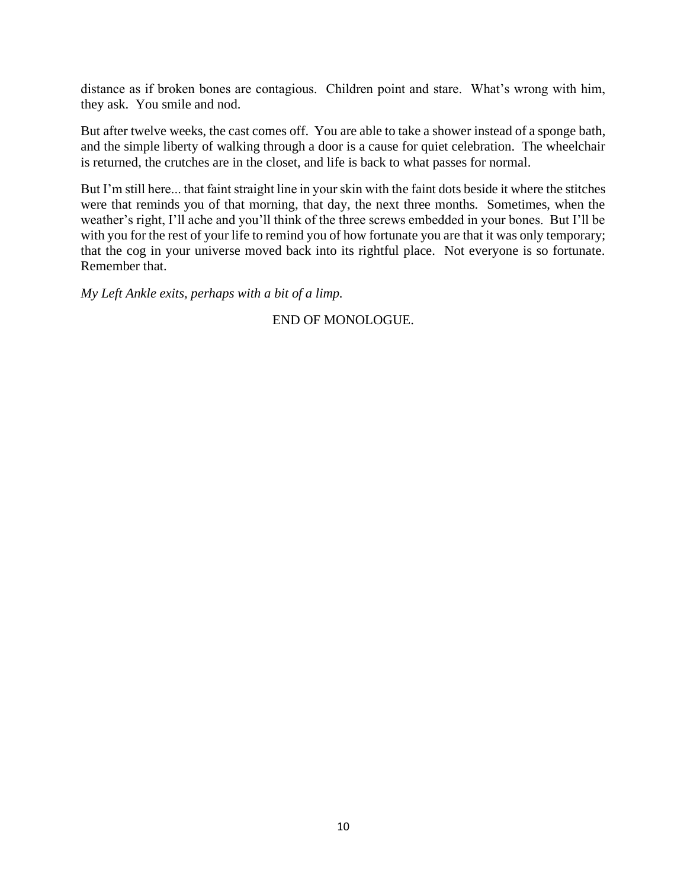distance as if broken bones are contagious. Children point and stare. What's wrong with him, they ask. You smile and nod.

But after twelve weeks, the cast comes off. You are able to take a shower instead of a sponge bath, and the simple liberty of walking through a door is a cause for quiet celebration. The wheelchair is returned, the crutches are in the closet, and life is back to what passes for normal.

But I'm still here... that faint straight line in your skin with the faint dots beside it where the stitches were that reminds you of that morning, that day, the next three months. Sometimes, when the weather's right, I'll ache and you'll think of the three screws embedded in your bones. But I'll be with you for the rest of your life to remind you of how fortunate you are that it was only temporary; that the cog in your universe moved back into its rightful place. Not everyone is so fortunate. Remember that.

*My Left Ankle exits, perhaps with a bit of a limp.*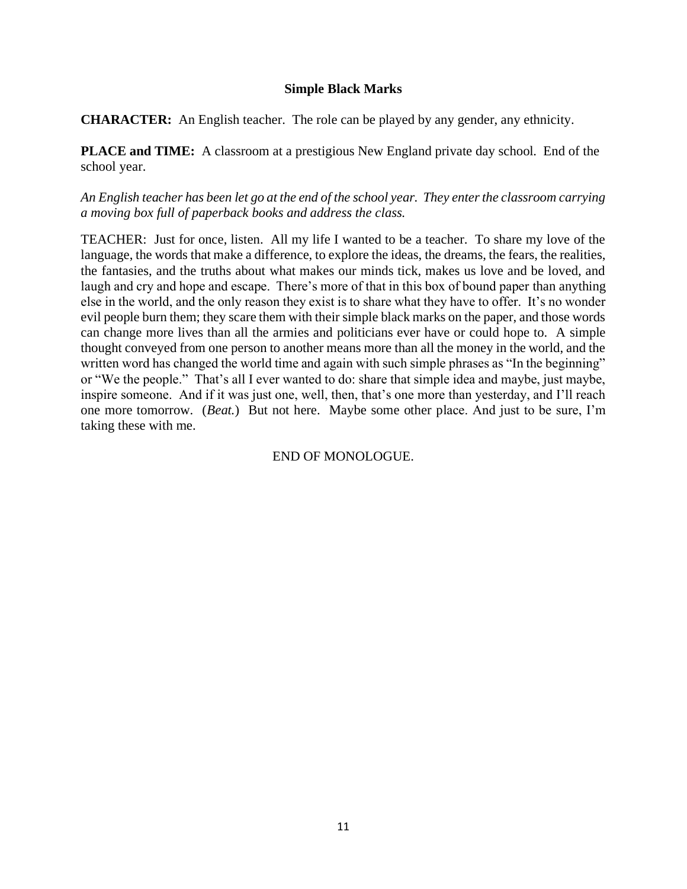# **Simple Black Marks**

**CHARACTER:** An English teacher. The role can be played by any gender, any ethnicity.

**PLACE and TIME:** A classroom at a prestigious New England private day school. End of the school year.

*An English teacher has been let go at the end of the school year. They enter the classroom carrying a moving box full of paperback books and address the class.*

TEACHER: Just for once, listen. All my life I wanted to be a teacher. To share my love of the language, the words that make a difference, to explore the ideas, the dreams, the fears, the realities, the fantasies, and the truths about what makes our minds tick, makes us love and be loved, and laugh and cry and hope and escape. There's more of that in this box of bound paper than anything else in the world, and the only reason they exist is to share what they have to offer. It's no wonder evil people burn them; they scare them with their simple black marks on the paper, and those words can change more lives than all the armies and politicians ever have or could hope to. A simple thought conveyed from one person to another means more than all the money in the world, and the written word has changed the world time and again with such simple phrases as "In the beginning" or "We the people." That's all I ever wanted to do: share that simple idea and maybe, just maybe, inspire someone. And if it was just one, well, then, that's one more than yesterday, and I'll reach one more tomorrow. (*Beat.*) But not here. Maybe some other place. And just to be sure, I'm taking these with me.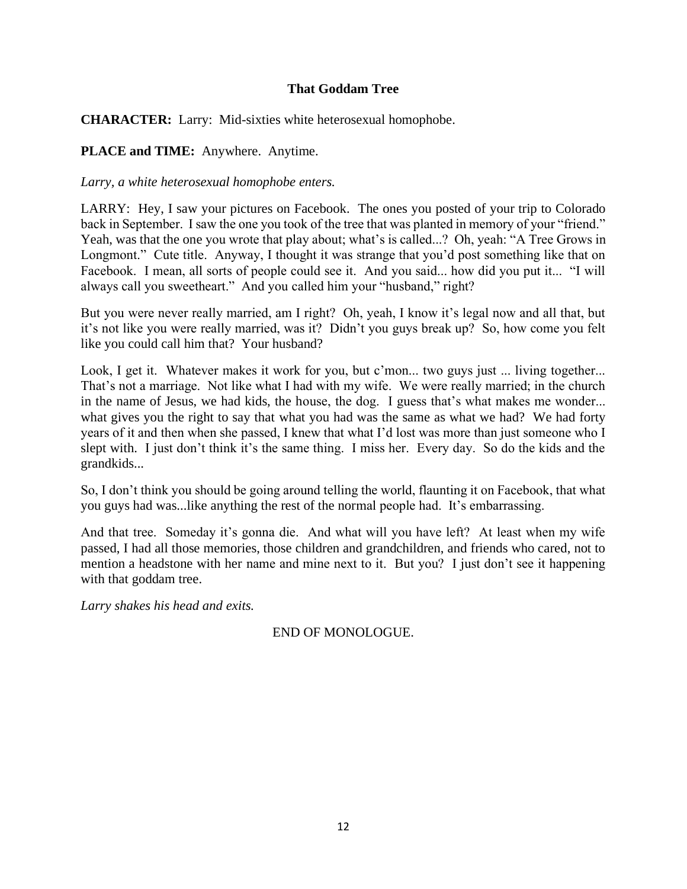# **That Goddam Tree**

**CHARACTER:** Larry: Mid-sixties white heterosexual homophobe.

**PLACE and TIME:** Anywhere. Anytime.

*Larry, a white heterosexual homophobe enters.*

LARRY: Hey, I saw your pictures on Facebook. The ones you posted of your trip to Colorado back in September. I saw the one you took of the tree that was planted in memory of your "friend." Yeah, was that the one you wrote that play about; what's is called...? Oh, yeah: "A Tree Grows in Longmont." Cute title. Anyway, I thought it was strange that you'd post something like that on Facebook. I mean, all sorts of people could see it. And you said... how did you put it... "I will always call you sweetheart." And you called him your "husband," right?

But you were never really married, am I right? Oh, yeah, I know it's legal now and all that, but it's not like you were really married, was it? Didn't you guys break up? So, how come you felt like you could call him that? Your husband?

Look, I get it. Whatever makes it work for you, but c'mon... two guys just ... living together... That's not a marriage. Not like what I had with my wife. We were really married; in the church in the name of Jesus, we had kids, the house, the dog. I guess that's what makes me wonder... what gives you the right to say that what you had was the same as what we had? We had forty years of it and then when she passed, I knew that what I'd lost was more than just someone who I slept with. I just don't think it's the same thing. I miss her. Every day. So do the kids and the grandkids...

So, I don't think you should be going around telling the world, flaunting it on Facebook, that what you guys had was...like anything the rest of the normal people had. It's embarrassing.

And that tree. Someday it's gonna die. And what will you have left? At least when my wife passed, I had all those memories, those children and grandchildren, and friends who cared, not to mention a headstone with her name and mine next to it. But you? I just don't see it happening with that goddam tree.

*Larry shakes his head and exits.*